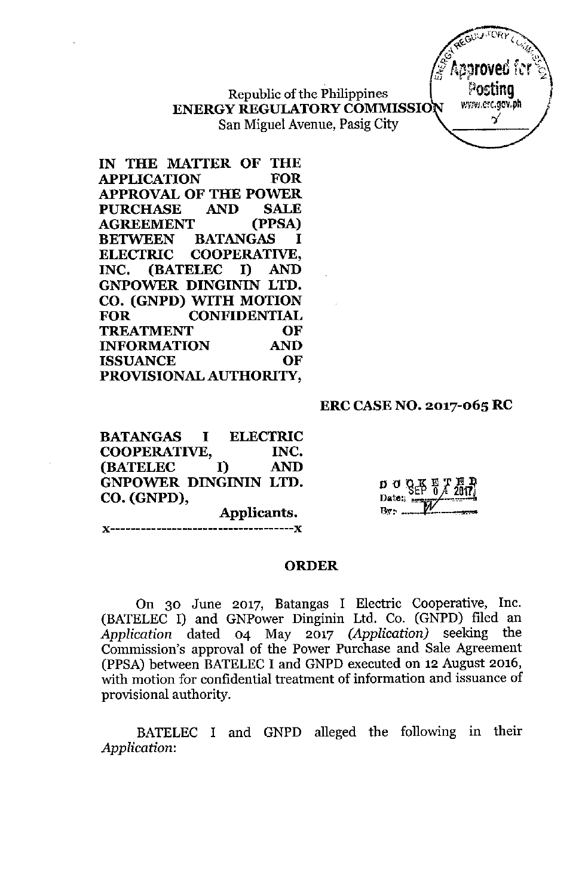Republic of the Philippines ENERGY REGULATORY COMMISSION San Miguel Avenue, Pasig City

IN THE MATTER OF THE APPLICATION FOR APPROVAL OF THE POWER PURCHASE AND SALE AGREEMENT (PPSA) BETWEEN BATANGAS I ELECTRIC COOPERATIVE, INC. (BATELEC I) AND GNPOWER DINGININ LTD. CO. (GNPD) WITH MOTION FOR CONFIDENTIAL TREATMENT OF INFORMATION AND ISSUANCE OF PROVISIONAL AUTHORITY,

### ERC CASE NO. 2017-065 RC

BATANGAS I ELECTRIC COOPERATIVE, INC. (BATELEC I) AND GNPOWER DINGININ LTD. CO. (GNPD), Applicants.

 $\mathbf{A}$ 

 $D \nightharpoonup Q \nightharpoonup R$   $T$   $T$   $T$   $T$  $\text{Data:}$ 

#### ORDER

----------------

On 30 June 2017, Batangas I Electric Cooperative, Inc. (BATELEC I) and GNPower Dinginin Ltd. Co. (GNPD) filed an *Application* dated 04 May 2017 *(Application)* seeking the Commission's approval of the Power Purchase and Sale Agreement (PPSA) between BATELEC I and GNPD executed on 12 August 2016, with motion for confidential treatment of information and issuance of provisional authority.

BATELEC I and GNPD alleged the following in their *Application:*

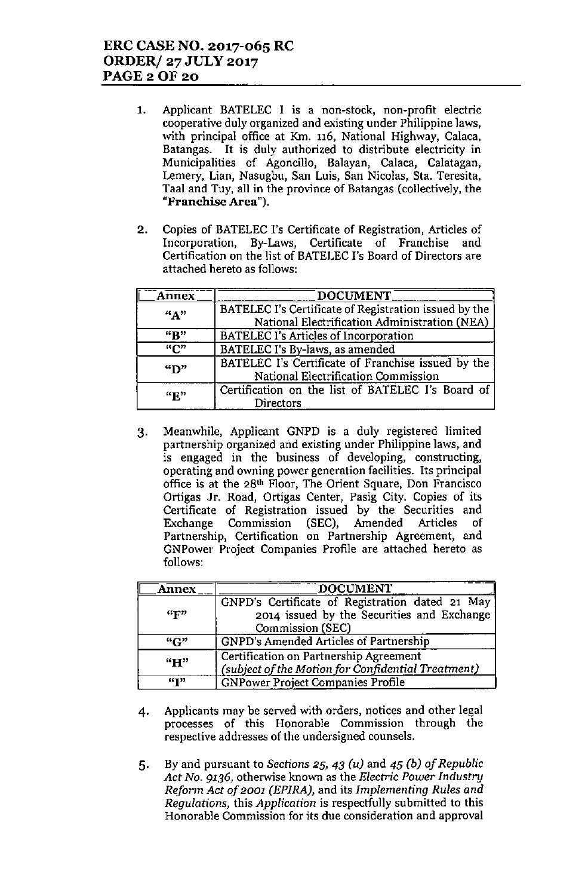- 1. Applicant BATELEC I is a non-stock, non-profit electric **cooperative duly organized and existing under Philippine laws,** with principal office at Km. 116, National Highway, Calaca, Batangas. It is duly authorized to distrihute electricity in Municipalities of Agoncillo, Balayan, Calaca, Calatagan, **Lemery, Lian, Nasugbu, San Luis, San Nicolas, 8t3. Teresita,** Taal and Tuy, all in the province of Batangas (collectively, the **"Franchise Area").**
- 2. Copies of BATELEC I's Certificate of Registration, Articles of **Incorporation, By-Laws, Certificate of Franchise and** Certification on the list of BATELEC I's Board of Directors are attached hereto as follows:

| <b>Annex</b> | DOCUMENT                                                                                               |
|--------------|--------------------------------------------------------------------------------------------------------|
| $A$ "        | BATELEC I's Certificate of Registration issued by the<br>National Electrification Administration (NEA) |
| "B"          | <b>BATELEC I's Articles of Incorporation</b>                                                           |
| "C"          | BATELEC I's By-laws, as amended                                                                        |
| "D"          | BATELEC I's Certificate of Franchise issued by the<br>National Electrification Commission              |
| "E"          | Certification on the list of BATELEC I's Board of<br><b>Directors</b>                                  |

3. Meanwhile, Applicant GNPD is a duly registered limited **partnership organized and existing under Philippine laws, and is engaged in the business of developing, constructing, operating and owning power generation facilities. Its principal office is at the 28th Floor, The Orient Square, Don Francisco** Ortigas Jr. Road, Ortigas Center, Pasig City. Copies of its Certificate of Registration issued by the Securities and Exchange Commission (SEC), Amended Articles of **Partnership, Certification on Partnership Agreement, and GNPower Project Companies Profile are attached hereto as** follows:

| <b>Annex</b>              | <b>DOCUMENT</b>                                                                                                   |  |  |
|---------------------------|-------------------------------------------------------------------------------------------------------------------|--|--|
| $\mathbf{G}_{\mathbf{F}}$ | GNPD's Certificate of Registration dated 21 May<br>2014 issued by the Securities and Exchange<br>Commission (SEC) |  |  |
| ``C"                      | GNPD's Amended Articles of Partnership                                                                            |  |  |
| "H"                       | Certification on Partnership Agreement<br>(subject of the Motion for Confidential Treatment)                      |  |  |
| <b>GT33</b>               | <b>GNPower Project Companies Profile</b>                                                                          |  |  |

- 4. Applicants may be served with orders, notices and other legal **processes of this Honorable Commission through the respective addresses of the undersigned counsels.**
- 5. By and pursuant to Sections 25, 43 *(u)* and 45 *(b) of Republic Act No.* 9136, otherwise known as the *Electric Power Industry Reform Act of 2001 (EPlRA),* and its *Implementing Rules and Regulations,* this *Application* is respectfully submitted to this **Honorable Commission for its due consideration and approval**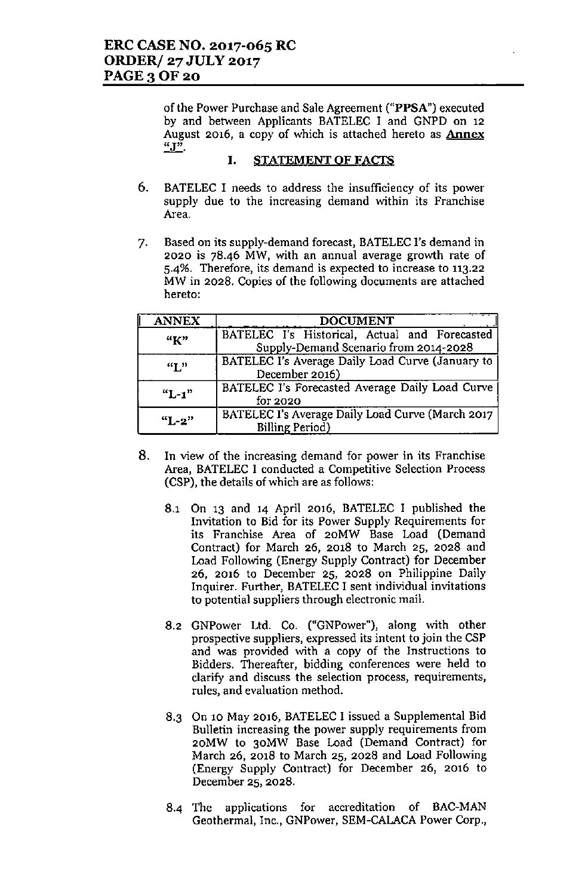of the Power Purchase and Sale Agreement ("PPSA") executed by and between Applicants BATELEC I and GNPD on 12 August 2016, a copy of which is attached hereto as **Annex "J".**

#### I. STATEMENT OF FACTS

- 6. BATELEC I needs to address the insufficiency of its power **supply due to the increasing demand within its Franchise Area.**
- 7. Based on its supply-demand forecast, BATELEC l's demand in **2020 is 78-46 MW, with an annual average growth rate of 5.4%. Therefore, its demand is expected to increase to 113.22** MW in 2028. Copies of the following documents are attached **hereto:**

| <b>ANNEX</b> | <b>DOCUMENT</b>                                                                        |  |  |
|--------------|----------------------------------------------------------------------------------------|--|--|
| ``K"         | BATELEC I's Historical, Actual and Forecasted<br>Supply-Demand Scenario from 2014-2028 |  |  |
| $\mathbf{H}$ | BATELEC I's Average Daily Load Curve (January to<br>December 2016)                     |  |  |
| $"L-1"$      | BATELEC I's Forecasted Average Daily Load Curve<br>for 2020                            |  |  |
| $"L-2"$      | BATELEC I's Average Daily Load Curve (March 2017<br>Billing Period)                    |  |  |

- **8. In view of the increasing demand for power in its Franchise** Area, BATELEC I conducted a Competitive Selection Process (CSP), the details of which are as follows:
	- 8.1 On 13 and 14 April 2016, BATELEC I published the Invitation to Bid for its Power Supply Requirements for its Franchise Area of 20MW Base Load (Demand Contract) for March 26, 2018 to March 25, 2028 and Load Following (Energy Supply Contract) for December 26, 2016 to December 25, 2028 on Philippine Daily Inquirer. Further, BATELEC I sent individual invitations **to potential suppliers through electronic mail.**
	- 8.2 GNPower Ltd. Co. ("GNPower"), along with other **prospective suppliers. expressed its intent to join the CSP and was provided with a copy of the Instructions to Bidders. Thereafter, bidding conferences were held to clarify and discuss the selection process. requirements. rules, and evaluation method.**
	- 8.3 On 10 May 2016, BATELEC I issued a Supplemental Bid **Bulletin increasing the power supply requirements from** 20MW to 30MW Base Load (Demand Contract) for March 26, 2018 to March 25, 2028 and Load Following (Energy Supply Contract) for December 26, 2016 to December 25, 2028.
	- 8-4 The applications for accreditation of BAC-MAN Geothermal, Inc., GNPower, SEM-CALACA Power Corp.,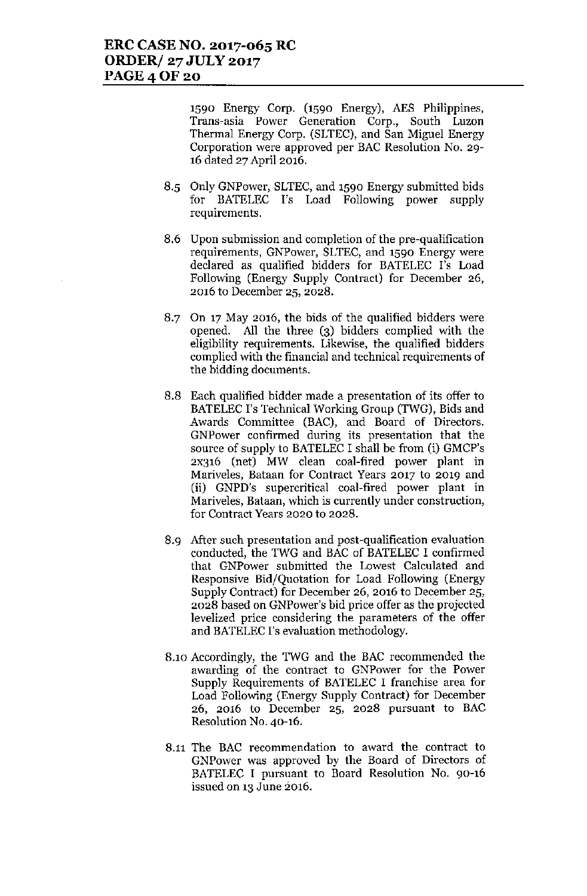1590 Energy Corp. (1590 Energy), AES Philippines, **Trans-asia Power Generation Corp., South Luzon** Thermal Energy Corp. (SLTEC), and San Miguel Energy **Corporation were approved per BAC Resolution No. 29-** 16 dated 27 April 2016.

- 8.5 Only GNPower, SLTEC, and 1590 Energy submitted bids for BATELEC I's Load Following power supply **requirements.**
- **8.6 Upon submission and completion of the pre-qualification requirements,** GNPower, **SLTEC, and 1590 Energy were** declared as qualified bidders for BATELEC I's Load Following (Energy Supply Contract) for December 26, **2016 to December 25, 2028.**
- 8.7 On 17 May 2016, the bids of the qualified bidders were opened. All the three (3) bidders complied with the **eligibility requirements. Likewise, the qualified bidders complied with the financial and technical requirements of** the bidding documents.
- 8.8 Each qualified bidder made a presentation of its offer to BATELEC I's Technical Working Group (TWG), Bids and Awards Committee (BAC), and Board of Directors. **GNPower confirmed during its presentation that the** source of supply to BATELEC I shall be from (i) GMCP's 2x316 (net) MW clean coal-fired power plant in **Mariveles, Bataan for Contract Years 2017 to 2019 and** (ii) GNPD's supercritical coal-fired power plant in **Mariveles, Bataan, which is currently under construction, for Contract Years 2020 to 2028.**
- **8.9 After such presentation and post-qualification evaluation** conducted, the TWG and BAC of BATELEC I confirmed that GNPower submitted the Lowest Calculated and Responsive Bid/Quotation for Load Following (Energy Supply Contract) for December 26, 2016 to December 25, **2028 based on GNPower's bid price offer as the projected levelized price considering the parameters of the offer** and BATELEC I's evaluation methodology.
- 8.10 Accordingly, the TWG and the BAC recommended the **awarding of the contract to GNPower for the Power** Supply Requirements of BATELEC I franchise area for Load Following (Energy Supply Contract) for December **26, 2016 to December 25, 2028 pursuant to BAC Resolution No. 40-16.**
- **8.11 The BAC recommendation to award the contract to GNPower was approved by the Board of Directors of** BATELEC I pursuant to Board Resolution No. 90-16 **issued on 13 June 2016.**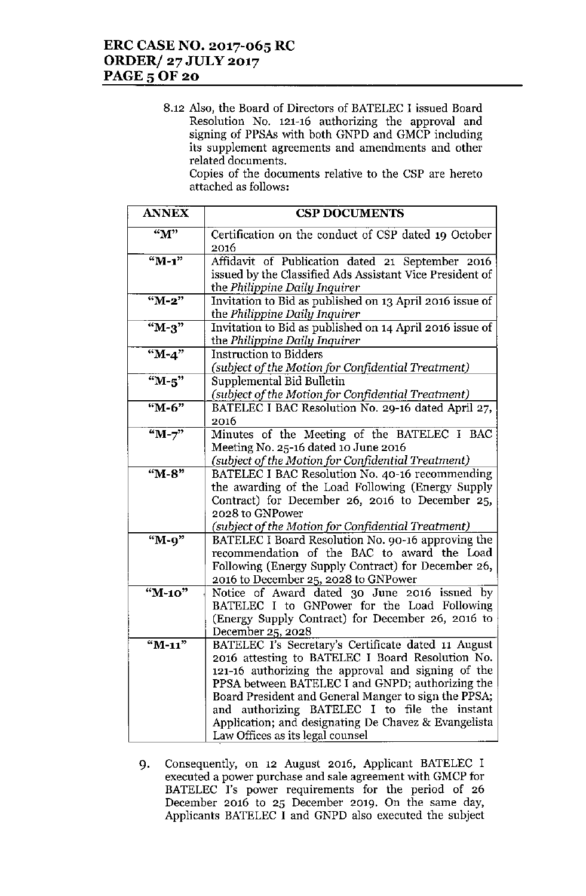8.12 Also, the Board of Directors of BATELEC I issued Board **Resolution No. 121-16 authorizing the approval and** signing of PPSAs with both GNPD and GMCP including **its supplement agreements and amendments and other related documents.**

**Copies of the documents relative to the CSP are hereto** attached as follows:

| <b>ANNEX</b>        | <b>CSP DOCUMENTS</b>                                                                                  |
|---------------------|-------------------------------------------------------------------------------------------------------|
| "M"                 | Certification on the conduct of CSP dated 19 October<br>2016                                          |
| $M-1"$              | Affidavit of Publication dated 21 September 2016                                                      |
|                     | issued by the Classified Ads Assistant Vice President of                                              |
|                     | the Philippine Daily Inquirer                                                                         |
| $M-2"$              | Invitation to Bid as published on 13 April 2016 issue of                                              |
|                     | the Philippine Daily Inquirer                                                                         |
| " $M-3$ "           | Invitation to Bid as published on 14 April 2016 issue of                                              |
|                     | the Philippine Daily Inquirer                                                                         |
| $M - 4$             | <b>Instruction to Bidders</b>                                                                         |
|                     | (subject of the Motion for Confidential Treatment)                                                    |
| $~\mathrm{H}$ -5"   | Supplemental Bid Bulletin                                                                             |
|                     | (subject of the Motion for Confidential Treatment)                                                    |
| "M-6"               | BATELEC I BAC Resolution No. 29-16 dated April 27,                                                    |
|                     | 2016                                                                                                  |
| $\sqrt{\text{M}-7}$ | Minutes of the Meeting of the BATELEC I BAC                                                           |
|                     | Meeting No. 25-16 dated 10 June 2016                                                                  |
| "M-8"               | (subject of the Motion for Confidential Treatment)<br>BATELEC I BAC Resolution No. 40-16 recommending |
|                     | the awarding of the Load Following (Energy Supply                                                     |
|                     | Contract) for December 26, 2016 to December 25,                                                       |
|                     | 2028 to GNPower                                                                                       |
|                     | (subject of the Motion for Confidential Treatment)                                                    |
| "M-9"               | BATELEC I Board Resolution No. 90-16 approving the                                                    |
|                     | recommendation of the BAC to award the Load                                                           |
|                     | Following (Energy Supply Contract) for December 26,                                                   |
|                     | 2016 to December 25, 2028 to GNPower                                                                  |
| "M-10"              | Notice of Award dated 30 June 2016 issued by                                                          |
|                     | BATELEC I to GNPower for the Load Following                                                           |
|                     | (Energy Supply Contract) for December 26, 2016 to                                                     |
|                     | December 25, 2028                                                                                     |
| "M-11"              | BATELEC I's Secretary's Certificate dated 11 August                                                   |
|                     | 2016 attesting to BATELEC I Board Resolution No.                                                      |
|                     | 121-16 authorizing the approval and signing of the                                                    |
|                     | PPSA between BATELEC I and GNPD; authorizing the                                                      |
|                     | Board President and General Manger to sign the PPSA;                                                  |
|                     | and authorizing BATELEC I to file the instant                                                         |
|                     | Application; and designating De Chavez & Evangelista                                                  |
|                     | Law Offices as its legal counsel                                                                      |

9. Consequently, on 12 August 2016, Applicant BATELEC I **executed a power purchase and sale agreement with GMCPfor BATELEC 1's power requirements for the period of 26 December 2016 to 25 December 2019. On the same day,** Applicants BATELEC I and GNPD also executed the subject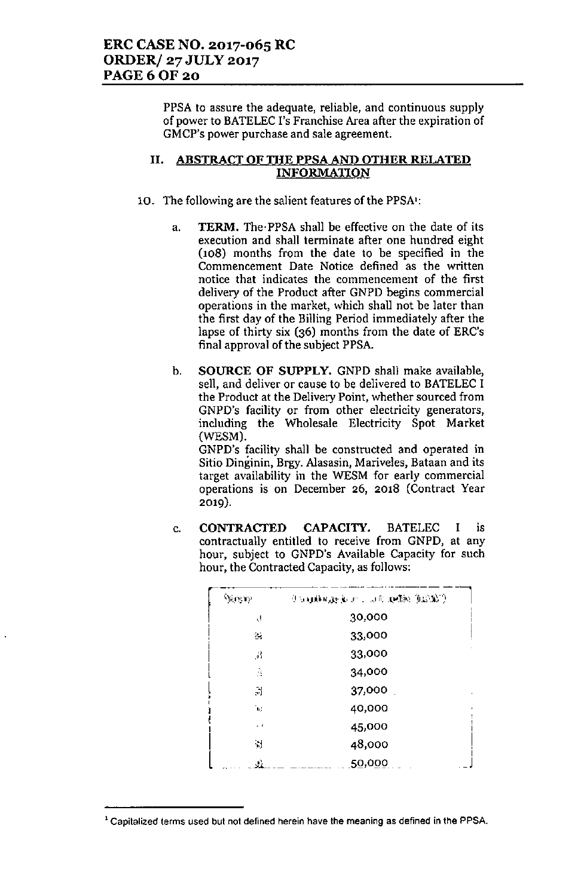PPSA to assure the adequate, reliable, and continuous supply of power to BATELEC I's Franchise Area after the expiration of **GMCP's power purchase and sale agreement.**

### II. ABSTRACT OF THE PPSA AND OTHER RELATED INFORMATION

- 10. The following are the salient features of the PPSA':
	- a. TERM. The. PPSA shall be effective on the date of its **execution and shall terminate after one hundred eight** (108) months from the date to be specified in the Commencement Date Notice defined as the written **notice that indicates the commencement of the first** delivery of the Product after GNPD begins commercial operations in the market, which shall not be later than the first day of the Billing Period immediately after the lapse of thirty six (36) months from the date of ERC's final approval of the subject PPSA.
	- b. SOURCE OF SUPPLY. GNPD shall make available, sell. and deliver or cause to be delivered to BATELEC I **the Product at the Delivery Point, whether sourced from** GNP D's **facility or from other electricity generators,** including the Wholesale Electricity Spot Market (WESM). GNPD's facility shall be constructed and operated in

 $\frac{1}{100}$  **Bitio**  $\frac{1}{100}$  **Dinginin**,  $\frac{1}{100}$  **Brggy.** Alasasin, Mariveles, Bataan and its target availability in the WESM for early commercial **operations is on December 26, 2018 (Contract Year** 2019).

c. CONTRACTED CAPACITY. BATELEC I is **contractually entitled to receive from GNPD, at any** hour, subject to GNPD's Available Capacity for such hour, the Contracted Capacity, as follows:

| Vigens                      | (Camirage), and the principal ( |  |
|-----------------------------|---------------------------------|--|
| ĻÌ,                         | 30,000                          |  |
| $\mathbb{Z}_2$              | 33,000                          |  |
| $\mathcal{A}^{\mathcal{L}}$ | 33,000                          |  |
| Ã                           | 34,000                          |  |
| $\mathbb{R}$                | 37,000                          |  |
| 'nΔ                         | 40,000                          |  |
| - 1                         | 45,000                          |  |
| $\mathcal{A}$               | 48,000                          |  |
| J.                          | 50,000                          |  |

**<sup>1</sup> Capitalized terms used but not defined herein have the meaning as defined in the PPSA**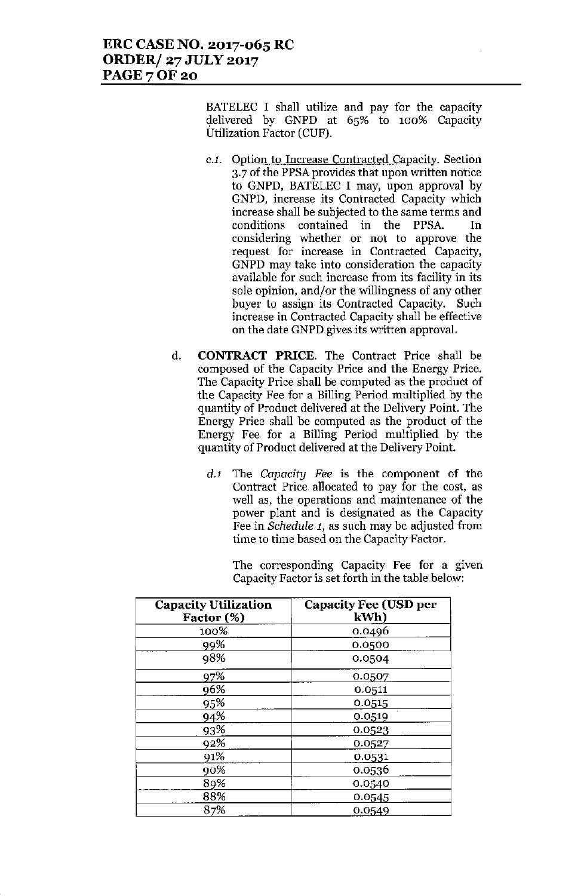BATELEC I shall utilize and pay for the capacity delivered by GNPD at 65% to 100% Capacity Utilization Factor (CUF).

- *C.l.* Option to Increase Contracted Capacity. Section 3.7 of the PPSA provides that upon written notice to GNPD, BATELEC I may, upon approval by GNPD, increase its Contracted Capacity which increase shall be subjected to the same terms and conditions contained in the PPSA. **In** considering whether or not to approve the request for increase in Contracted Capacity, GNPD may take into consideration the capacity available for such increase from its facility in its sole opinion, and/or the willingness of any other buyer to assign its Contracted Capacity. Such increase in Contracted Capacity shall be effective on the date GNPD gives its written approval.
- d. CONTRACT PRICE. The Contract Price shall be composed of the Capacity Price and the Energy Price. The Capacity Price shall be computed as the product of the Capacity Fee for a Billing Period multiplied by the quantity of Product delivered at the Delivery Point. The Energy Price shall be computed as the product of the Energy Fee for a Billing Period multiplied by the quantity of Product delivered at the Delivery Point.
	- *d.l* The *Capacity Fee* is the component of the Contract Price allocated to pay for the cost, as well as, the operations and maintenance of the power plant and is designated as the Capacity Fee in *Schedule* 1, as such may be adjusted from time to time based on the Capacity Factor.

The corresponding Capacity Fee for a given Capacity Factor is set forth in the table below:

| <b>Capacity Utilization</b><br>Factor (%) | <b>Capacity Fee (USD per</b><br>kWh) |
|-------------------------------------------|--------------------------------------|
| 100%                                      | 0.0496                               |
| 99%                                       | 0.0500                               |
| 98%                                       | 0.0504                               |
| 97%                                       | 0.0507                               |
| 96%                                       | 0.0511                               |
| 95%                                       | 0.0515                               |
| 94%                                       | 0.0519                               |
| 93%                                       | 0.0523                               |
| 92%                                       | 0.0527                               |
| 91%                                       | 0.0531                               |
| 90%                                       | 0.0536                               |
| 89%                                       | 0.0540                               |
| 88%                                       | 0.0545                               |
| 87%                                       | 0.0549                               |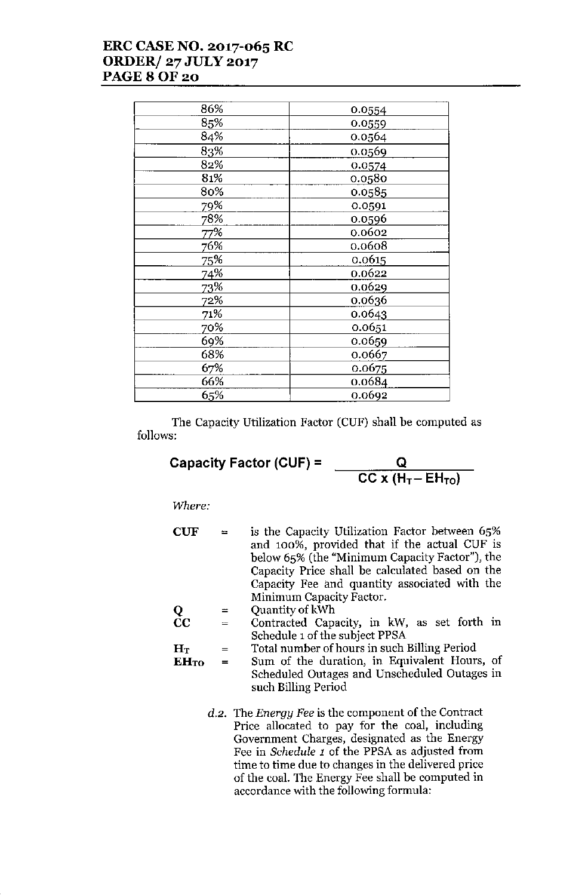# **ERC CASENO. 2017-065 RC ORDER/27JULY2017 PAGE80F20**

| 86% | 0.0554 |
|-----|--------|
| 85% | 0.0559 |
| 84% | 0.0564 |
| 83% | 0.0569 |
| 82% | 0.0574 |
| 81% | 0.0580 |
| 80% | 0.0585 |
| 79% | 0.0591 |
| 78% | 0.0596 |
| 77% | 0.0602 |
| 76% | 0.0608 |
| 75% | 0.0615 |
| 74% | 0.0622 |
| 73% | 0.0629 |
| 72% | 0.0636 |
| 71% | 0.0643 |
| 70% | 0.0651 |
| 69% | 0.0659 |
| 68% | 0.0667 |
| 67% | 0.0675 |
| 66% | 0.0684 |
| 65% | 0.0692 |

The Capacity Utilization Factor (CUF) shall be computed as follows:

**Capacity Factor (CUF) =**

$$
\frac{Q}{CC \times (H_T - EH_{TO})}
$$

*Where:*

| ${\bf CUF}$ | $=$ | is the Capacity Utilization Factor between 65%  |
|-------------|-----|-------------------------------------------------|
|             |     | and 100%, provided that if the actual CUF is    |
|             |     | below 65% (the "Minimum Capacity Factor"), the  |
|             |     | Capacity Price shall be calculated based on the |
|             |     | Capacity Fee and quantity associated with the   |
|             |     | Minimum Capacity Factor.                        |
| Q           | $=$ | Quantity of kWh                                 |
| $\bf CC$    | $=$ | Contracted Capacity, in kW, as set forth in     |
|             |     | Schedule 1 of the subject PPSA                  |
| ${\bf H}$ т |     | Total number of hours in such Billing Period    |
|             |     |                                                 |

 $EH_{TO}$  = **Sum of the duration, in Equivalent Hours, of** Scheduled Outages and Unscheduled Outages in such Billing Period

> *d.2.* **The** *Energy Fee* **is the component of the Contract Price allocated to pay for the coal, including Government Charges, designated as the Energy** Fee in *Schedule* 1 of the PPSA as adjusted from **time to time due to changes in the delivered price of the coal. The Energy Fee shall be computed in accordance with the following formula:**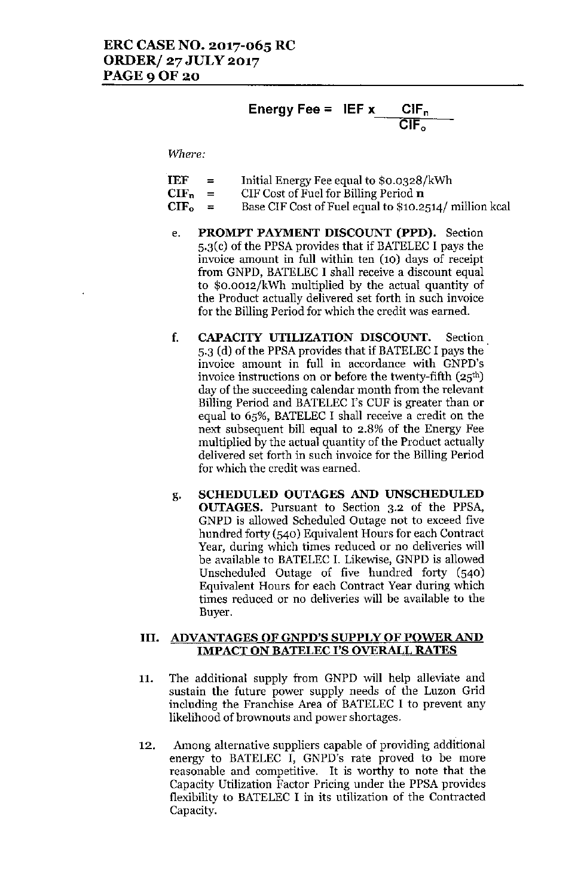Energy fee = IEF x 
$$
CIF_n
$$

*Where:*

| <b>IEF</b> | $=$      | Initial Energy Fee equal to \$0.0328/kWh               |
|------------|----------|--------------------------------------------------------|
| $CIF_n$    | $\equiv$ | CIF Cost of Fuel for Billing Period $\bf{n}$           |
| $CIF_0 =$  |          | Base CIF Cost of Fuel equal to \$10.2514/ million kcal |

- e. PROMPT PAYMENT DISCOUNT (PPD). Section 5.3(c) of the PPSA provides that if BATELEC I pays the invoice amount in full within ten (10) days of receipt from GNPD, BATELEC I shall receive a discount equal to \$0.0012/kWh multiplied by the actual quantity of the Product actually delivered set forth in such invoice for the Billing Period for which the credit was earned.
- f. CAPACITY UTILIZATION DISCOUNT. Section 5.3 (d) of the PPSA provides that if BATELEC I pays the invoice amount in full in accordance with GNPD's invoice instructions on or before the twenty-fifth (25th) day of the succeeding calendar month from the relevant Billing Period and BATELEC I's CUF is greater than or equal to 65%, BATELEC I shall receive a credit on the next subsequent bill equal to 2.8% of the Energy Fee multiplied by the actual quantity of the Product actually delivered set forth in such invoice for the Billing Period for which the credit was earned.
- g. SCHEDULED OUTAGES AND UNSCHEDULED OUTAGES. Pursuant to Section 3.2 of the PPSA, GNPD is allowed Scheduled Outage not to exceed five hundred forty (540) Equivalent Hours for each Contract Year, during which times reduced or no deliveries will be available to BATELEC I. Likewise, GNPD is allowed Unscheduled Outage of five hundred forty (540) Equivalent Hours for each Contract Year during which times reduced or no deliveries will be available to the Buyer.

#### III. ADVANTAGES OF GNPD'S SUPPLY OF POWER AND IMPACT ON BATELEC I'S OVERALL RATES

- 11. The additional supply from GNPD will help alleviate and sustain the future power supply needs of the Luzon Grid including the Franchise Area of BATELEC I to prevent any likelihood of brownouts and power shortages.
- 12. Among alternative suppliers capable of providing additional energy to BATELEC I, GNPD's rate proved to be more reasonable and competitive. It is worthy to note that the Capacity Utilization Factor Pricing under the PPSA provides flexibility to BATELEC I in its utilization of the Contracted Capacity.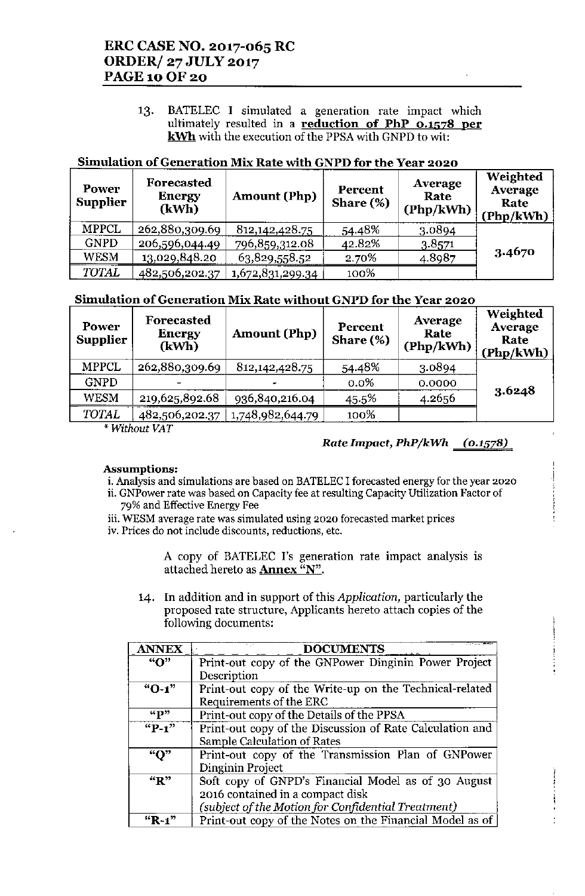## ERC CASE NO. 2017-065 RC ORDER/ 27 JULY 2017 PAGE 10 OF 20

13. BATELEC I simulated a generation rate impact which ultimately resulted in a reduction of PhP  $0.1578$  per kWh with the execution of the PPSA with GNPD to wit:

### Simulation of Generation Mix Rate with GNPD for the Year 2020

| Power<br><b>Supplier</b> | Forecasted<br><b>Energy</b><br>(kWh) | <b>Amount (Php)</b> | Percent<br>Share $(\%)$ | Average<br>Rate<br>(Php/kWh) | Weighted<br>Average<br>Rate<br>(Php/kWh) |
|--------------------------|--------------------------------------|---------------------|-------------------------|------------------------------|------------------------------------------|
| <b>MPPCL</b>             | 262,880,309.69                       | 812, 142, 428. 75   | 54.48%                  | 3.0894                       |                                          |
| <b>GNPD</b>              | 206,596,044.49                       | 796,859,312.08      | 42.82%                  | 3.8571                       |                                          |
| WESM                     | 13,029,848.20                        | 63,829,558.52       | 2.70%                   | 4.8987                       | 3.4670                                   |
| <b>TOTAL</b>             | 482,506,202.37                       | 1,672,831,299.34    | 100%                    |                              |                                          |

### Simulation of Generation Mix Rate without GNPD for the Year 2020

| Power<br><b>Supplier</b> | Forecasted<br><b>Energy</b><br>(kWh) | <b>Amount (Php)</b> | Percent<br>Share $(\%)$ | Average<br>Rate<br>(Php/kWh) | Weighted<br>Average<br>Rate<br>(Php/kWh) |
|--------------------------|--------------------------------------|---------------------|-------------------------|------------------------------|------------------------------------------|
| <b>MPPCL</b>             | 262,880,309.69                       | 812, 142, 428. 75   | 54.48%                  | 3.0894                       |                                          |
| <b>GNPD</b>              |                                      | -                   | $0.0\%$                 | 0.0000                       |                                          |
| WESM                     | 219,625,892.68                       | 936,840,216.04      | 45.5%                   | 4.2656                       | 3.6248                                   |
| TOTAL                    | 482,506,202.37                       | 1,748,982,644.79    | 100%                    |                              |                                          |

*\* Without VAT*

### *Rate Impact, PhP/kWh (0.1578)*

#### Assumptions:

i. Analysis and simulations are based on BATELEC I forecasted energy for the year 2020

ii. GNPower rate was based on Capacity fee at resulting Capacity Utilization Factor of 79% and Effective Energy Fee

iii. WESM average rate was simulated using 2020 forecasted market prices iv. Prices do not include discounts, reductions, etc.

> A copy of BATELEC 1's generation rate impact analysis is attached hereto as **Annex** "N".

14. In addition and in support of this *Application,* particularly the proposed rate structure, Applicants hereto attach copies of the following documents:

| <b>ANNEX</b> | <b>DOCUMENTS</b>                                         |
|--------------|----------------------------------------------------------|
| "О"          | Print-out copy of the GNPower Dinginin Power Project     |
|              | Description                                              |
| $"O-1"$      | Print-out copy of the Write-up on the Technical-related  |
|              | Requirements of the ERC                                  |
| $\mathbf{G}$ | Print-out copy of the Details of the PPSA                |
| $"P-1"$      | Print-out copy of the Discussion of Rate Calculation and |
|              | Sample Calculation of Rates                              |
| " $Q$ "      | Print-out copy of the Transmission Plan of GNPower       |
|              | Dinginin Project                                         |
| "R"          | Soft copy of GNPD's Financial Model as of 30 August      |
|              | 2016 contained in a compact disk                         |
|              | (subject of the Motion for Confidential Treatment)       |
| $"R-1"$      | Print-out copy of the Notes on the Financial Model as of |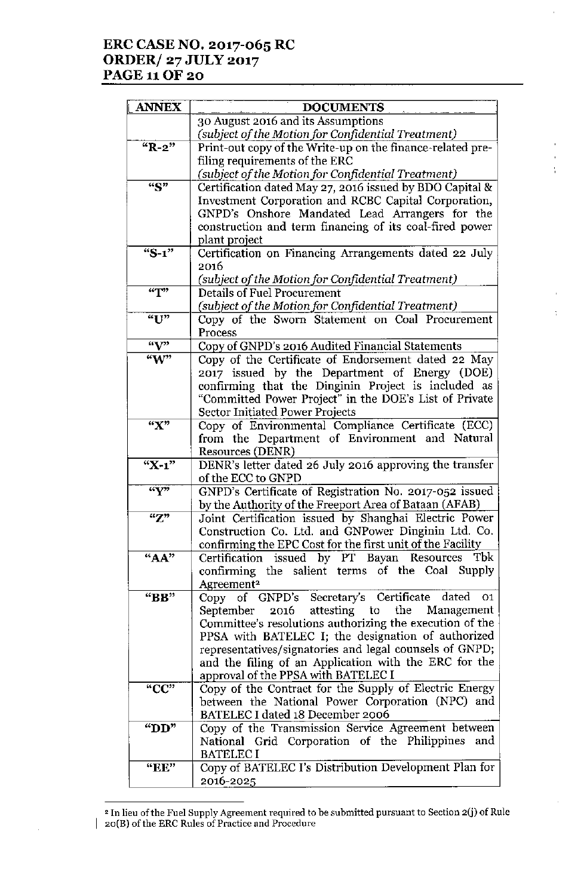## **ERC CASE NO. 2017-065 RC ORDER/ 27 JULY 2017 PAGE 11 OF 20**

| <b>ANNEX</b>                                 | <b>DOCUMENTS</b>                                                                                                 |
|----------------------------------------------|------------------------------------------------------------------------------------------------------------------|
|                                              | 30 August 2016 and its Assumptions                                                                               |
|                                              | (subject of the Motion for Confidential Treatment)                                                               |
| $"R-2"$                                      | Print-out copy of the Write-up on the finance-related pre-                                                       |
|                                              | filing requirements of the ERC                                                                                   |
|                                              | (subject of the Motion for Confidential Treatment)                                                               |
| 45"                                          | Certification dated May 27, 2016 issued by BDO Capital &                                                         |
|                                              | Investment Corporation and RCBC Capital Corporation,                                                             |
|                                              | GNPD's Onshore Mandated Lead Arrangers for the                                                                   |
|                                              | construction and term financing of its coal-fired power                                                          |
|                                              | plant project                                                                                                    |
| "S-1"                                        | Certification on Financing Arrangements dated 22 July                                                            |
|                                              | 2016                                                                                                             |
|                                              | (subject of the Motion for Confidential Treatment)                                                               |
| $\overline{^{\prime\prime}T^{\prime\prime}}$ | <b>Details of Fuel Procurement</b>                                                                               |
|                                              | (subject of the Motion for Confidential Treatment)                                                               |
| "U"                                          | Copy of the Sworn Statement on Coal Procurement                                                                  |
|                                              | Process                                                                                                          |
| $\sqrt{v}$                                   | Copy of GNPD's 2016 Audited Financial Statements                                                                 |
| $\sqrt[4]{w^2}$                              | Copy of the Certificate of Endorsement dated 22 May                                                              |
|                                              | 2017 issued by the Department of Energy (DOE)                                                                    |
|                                              | confirming that the Dinginin Project is included as                                                              |
|                                              | "Committed Power Project" in the DOE's List of Private                                                           |
|                                              | Sector Initiated Power Projects                                                                                  |
| "X"                                          | Copy of Environmental Compliance Certificate (ECC)                                                               |
|                                              | from the Department of Environment and Natural                                                                   |
|                                              | <b>Resources (DENR)</b>                                                                                          |
| $X-1$                                        | DENR's letter dated 26 July 2016 approving the transfer                                                          |
|                                              | of the ECC to GNPD                                                                                               |
| $\overline{Y}$                               | GNPD's Certificate of Registration No. 2017-052 issued                                                           |
|                                              | by the Authority of the Freeport Area of Bataan (AFAB)                                                           |
| $\mathbf{Z}^n$                               | Joint Certification issued by Shanghai Electric Power                                                            |
|                                              | Construction Co. Ltd. and GNPower Dinginin Ltd. Co.                                                              |
|                                              | confirming the EPC Cost for the first unit of the Facility                                                       |
| "AA"                                         | Certification issued by PT Bayan Resources<br>Tbk                                                                |
|                                              | confirming the salient terms of the Coal Supply                                                                  |
|                                              | Agreement <sup>2</sup>                                                                                           |
| "BB"                                         | Copy of GNPD's Secretary's Certificate<br>dated<br>01                                                            |
|                                              | the<br>2016 attesting to<br>Management<br>September                                                              |
|                                              | Committee's resolutions authorizing the execution of the                                                         |
|                                              | PPSA with BATELEC I; the designation of authorized                                                               |
|                                              | representatives/signatories and legal counsels of GNPD;<br>and the filing of an Application with the ERC for the |
|                                              | approval of the PPSA with BATELEC I                                                                              |
| "CC"                                         | Copy of the Contract for the Supply of Electric Energy                                                           |
|                                              | between the National Power Corporation (NPC) and                                                                 |
|                                              | BATELEC I dated 18 December 2006                                                                                 |
| " $DD"$                                      | Copy of the Transmission Service Agreement between                                                               |
|                                              | National Grid Corporation of the Philippines and                                                                 |
|                                              | <b>BATELEC I</b>                                                                                                 |
| "EE"                                         | Copy of BATELEC I's Distribution Development Plan for                                                            |
|                                              | 2016-2025                                                                                                        |
|                                              |                                                                                                                  |

÷,

÷

**<sup>2</sup> In lieu** of the **Fuel Supply Agreement required to be submitted pursuant to Section 2m of Rule 2o(B)** of the **ERe Rules** of Practice **and Procedure**

 $\hat{\mathcal{A}}$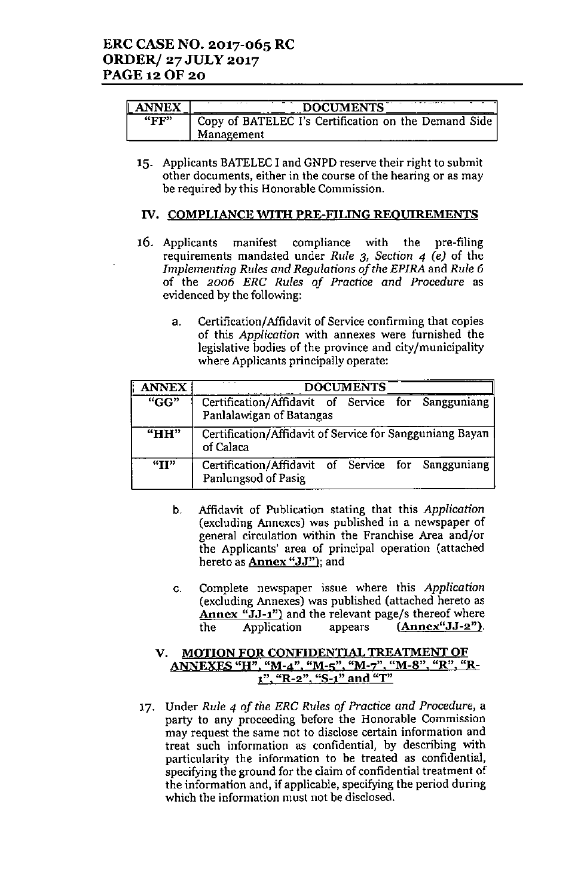| <b>ANNEX</b><br>L | <b>DOCUMENTS</b>                                                     |
|-------------------|----------------------------------------------------------------------|
| "FF"              | Copy of BATELEC I's Certification on the Demand Side  <br>Management |

15. Applicants BATELEC I and GNPD reserve their right to submit other documents, either in the course of the hearing or as may be required by this Honorable Commission.

#### IV. COMPLIANCE WITH PRE-FILING REOUIREMENTS

- 16. Applicants manifest compliance with the pre-filing requirements mandated under *Rule* 3, *Section* 4 *(e)* of the *Implementing Rules and Regulations of the EPIRA* and *Rule 6* of the *2006 ERG Rules of Practice and Procedure* as evidenced by the following:
	- a. Certification/Affidavit of Service confirming that copies of this *Application* with annexes were furnished the legislative bodies of the province and city/municipality where Applicants principally operate:

| <b>ANNEX</b>                  | <b>DOCUMENTS</b>                                                               |
|-------------------------------|--------------------------------------------------------------------------------|
| $\mathbf{G}$ <sup>"</sup> GG" | Certification/Affidavit of Service for Sangguniang<br>Panlalawigan of Batangas |
| "HH"                          | Certification/Affidavit of Service for Sangguniang Bayan<br>of Calaca          |
| "I"                           | Certification/Affidavit of Service for Sangguniang<br>Panlungsod of Pasig      |

- b. Affidavit of Publication stating that this *Application* (excluding Annexes) was published in a newspaper of general circulation within the Franchise Area and/or the Applicants' area of principal operation (attached hereto as Annex "JJ"); and
- c. Complete newspaper issue where this *Application* (excluding Annexes) was published (attached hereto as Annex "JJ-1") and the relevant page/s thereof where the Application appears  $(\text{Annex}^{\omega} J J - 2^{\omega})$ .

#### v. MOTION FOR CONFIDENTIAL TREATMENT OF ANNEXES "H", "M-4", "M-5", "M-7", "M-8", "R", "R $t$ ", "R-2", "S-1" and "T"

17. Under *Rule* 4 *of the ERG Rules of Practice and* Procedure, a party to any proceeding before the Honorable Commission may request the same not to disclose certain information and treat such information as confidential, by describing with particularity the information to be treated as confidential, specifying the ground for the claim of confidential treatment of the information and, if applicable, specifying the period during which the information must not be disclosed.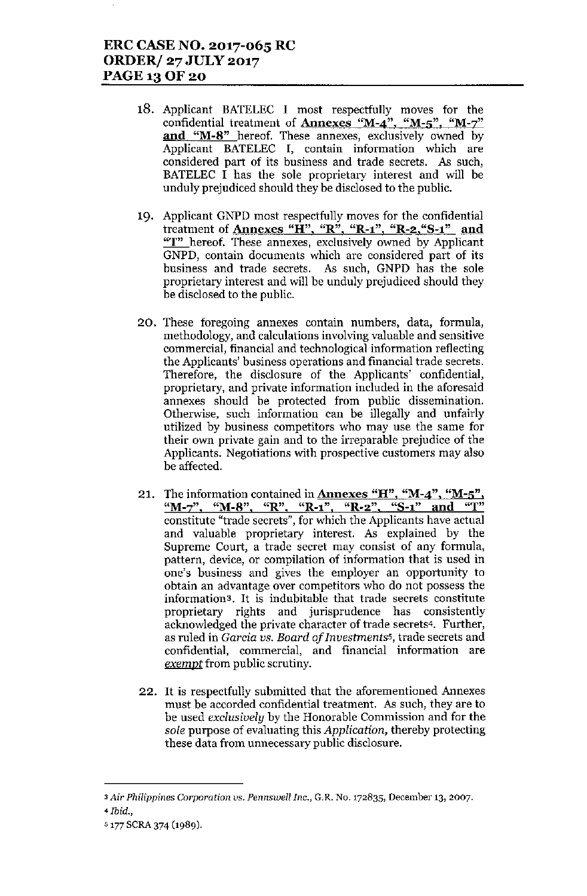## ERC CASE NO. 2017-065 RC ORDER/ 27 JULY 2017 PAGE 13 OF 20

- 18. Applicant BATELEC I most respectfully moves for the confidential treatment of Annexes "M-4", "M-5", "M-7" **and** "M-8" hereof. These annexes, exclusively owned by Applicant BATELEC I, contain information which are considered part of its business and trade secrets. *As* such, BATELEC  $\overline{I}$  has the sole proprietary interest and will be unduly prejudiced should they be disclosed to the public.
- 19. Applicant GNPD most respectfully moves for the confidential treatment of **Annexes "H", "R", "R-1", "R-2, "S-1"** and "T" hereof. These annexes, exclusively owned by Applicant GNPD, contain documents which are considered part of its business and trade secrets. As such, GNPD has the sole proprietary interest and will be unduly prejudiced should they be disclosed to the public.
- 20. These foregoing annexes contain numbers, data, formula, methodology, and calculations involving valuable and sensitive commercial, financial and technological information reflecting the Applicants' business operations and financial trade secrets. Therefore, the disclosure of the Applicants' confidential, proprietary, and private information included in the aforesaid annexes should be protected from public dissemination. Otherwise, such information can be illegally and unfairly utilized by business competitors who may use the same for their own private gain and to the irreparable prejudice of the Applicants. Negotiations with prospective customers may also be affected.
- 21. The information contained in **Annexes "H", "M-4", "M-5'** "M-z", "M-8", "R", "R-l", "R.2", "8-1" **and** "T" constitute "trade secrets", for which the Applicants have actual and valuable proprietary interest. As explained by the Supreme Court, a trade secret may consist of any formula, pattern, device, or compilation of information that is used in one's business and gives the employer an opportunity to obtain an advantage over competitors who do not possess the information3. It is indubitable that trade secrets constitute proprietary rights and jurisprudence has consistently acknowledged the private character of trade secrets4. Further, as ruled in *Garcia vs. Board of Investments5,* trade secrets and confidential, commercial, and financial information are *exempt* from public scrutiny.
- 22. It is respectfully submitted that the aforementioned Annexes must be accorded confidential treatment. As such, they are to be used *exclusively* by the Honorable Commission and for the *sole* purpose of evaluating this *Application,* thereby protecting these data from unnecessary public disclosure.

<sup>3</sup>*Air Philippines Corporation vs. Pennswell Inc.,* G.R. No. 172835, December 13, 2007.

<sup>4</sup> *Ibid.,*

<sup>5177</sup> SCRA 374 (1989).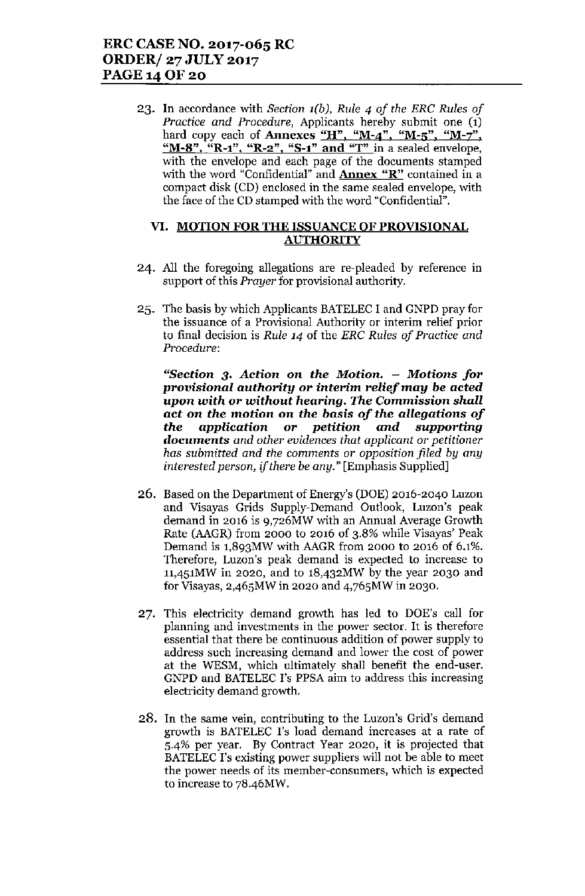23. In accordance with *Section l(b), Rule* 4 *of the ERC Rules of Practice and Procedure,* Applicants hereby submit one (1) hard copy each of Annexes "H", "M-4", "M-5", "M-7", "M-8", "R-1", "R-2", "S-1" and "T" in a sealed envelope, with the envelope and each page of the documents stamped with the word "Confidential" and **Annex "R"** contained in a compact disk (CD) enclosed in the same sealed envelope, with the face of the CD stamped with the word "Confidential".

#### VI. MOTION FOR THE ISSUANCE OF PROVISIONAL **AUTHORITY**

- 24. All the foregoing allegations are re-pleaded by reference in support of this *Prayer* for provisional authority.
- 25. The basis by which Applicants BATELEC I and GNPD pray for the issuance of a Provisional Authority or interim relief prior to final decision is *Rule* 14 of the *ERC Rules of Practice and Procedure:*

*"Section* 3. *Action* on *the Motion. - Motions for provisional authority or* interim *relief may* be *acted upon with* or *without hearing. The Commission shall act* on *the motion* on *the basis of the allegations of the application or petition and supporting documents and other evidences that applicant* or *petitioner has submitted and the comments* or *opposition filed by any interested person, if there be any."* [Emphasis Supplied]

- 26. Based on the Department of Energy's (DOE) 2016-2040 Lnzon and Visayas Grids Supply-Demand Ontlook, Luzon's peak demand in 2016 is 9,726MW with an Annual Average Growth Rate (AAGR) from 2000 to 2016 of 3.8% while Visayas' Peak Demand is 1,893MW with AAGR from 2000 to 2016 of 6.1%. Therefore, Luzon's peak demand is expected to increase to 1l,4S1MW in 2020, and to 18,432MW by the year 2030 and for Visayas, 2,46SMW in 2020 and 4,76SMW in 2030.
- 27. This electricity demand growth has led to DOE's call for planning and investments in the power sector. It is therefore essential that there be continuous addition of power supply to address such increasing demand and lower the cost of power at the WESM, which ultimately shall benefit the end-user. GNPD and BATELEC I's PPSA aim to address this increasing electricity demand growth.
- 28. In the same vein, contributing to the Luzon's Grid's demand growth is BATELEC 1's load demand increases at a rate of 5-4% per year. By Contract Year 2020, it is projected that BATELEC I's existing power suppliers will not be able to meet the power needs of its member-consumers, which is expected to increase to 78.46MW.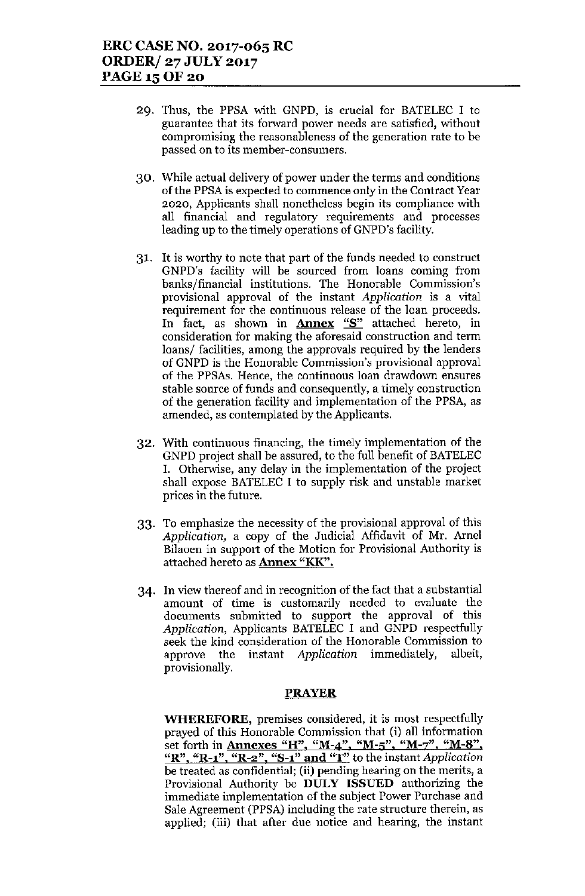- 29. Thus, the PPSA with GNPD, is crucial for BATELEC I to guarantee that its forward power needs are satisfied, without compromising the reasonableness of the generation rate to be passed on to its member-consumers.
- 30. While actual delivery of power under the terms and conditions of the PPSA is expected to commence only in the Contract Year 2020, Applicants shall nonetheless begin its compliance with all financial and regulatory requirements and processes leading up to the timely operations of GNPD's facility.
- 31. It is worthy to note that part of the funds needed to construct GNPD's facility will he sourced from loans coming from banks/financial institutions. The Honorable Commission's provisional approval of the instant *Application* is a vital requirement for the continuous release of the loan proceeds. In fact, as shown in **Annex** "S" attached hereto, in consideration for making the aforesaid construction and term loans/ facilities, among the approvals required by the lenders of GNPD is the Honorable Commission's provisional approval of the PPSAs. Hence, the continuous loan drawdown ensures stable source of funds and consequently, a timely construction of the generation facility and implementation of the PPSA, as amended, as contemplated by the Applicants.
- 32. With continuous financing, the timely implementation of the GNPD project shall he assured, to the full henefit of BATELEC I. Otherwise, any delay in the implementation of the project shall expose BATELEC I to supply risk and unstable market prices in the future.
- 33. To emphasize the necessity of the provisional approval of this *Application,* a copy of the Judicial Affidavit of Mr. Arnel Bilaoen in support of the Motion for Provisional Authority is attached hereto as Annex "KK".
- 34. In view thereof and in recognition of the fact that a substantial amount of time is customarily needed to evaluate the documents submitted to support the approval of this *Application,* Applicants BATELEC I and GNPD respectfully seek the kind consideration of the Honorable Commission to approve the instant *Application* immediately, albeit, provisionally.

#### PRAYER

WHEREFORE, premises considered, it is most respectfully prayed of this Honorable Commission that (i) all information set forth in **Annexes "H", "M-4", "M-5", "M-7", "M-8"** "R". "R-1", "R-2", "8-1" and "T" to the instant *Application* be treated as confidential; (ii) pending hearing on the merits, a Provisional Authority be DULY ISSUED authorizing the immediate implementation of the subject Power Purchase and Sale Agreement (PPSA) including the rate structure therein, as applied; (iii) that after due notice and hearing, the instant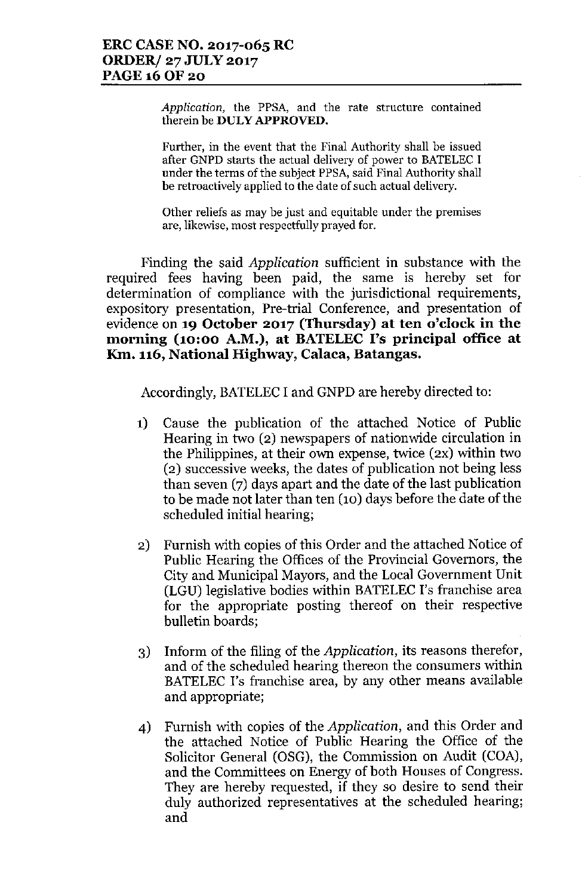*Application,* **the PPSA, and the rate structure contained** therein be **DULY APPROVED.**

Further, in the event that the Final Authority shall be issued after GNPD starts the actual delivery of power to BATELEC I under the terms of the subject PPSA, said Final Authority shall **be retroactively applied to the date of such actual delivery.**

**Other reliefs as may be just and equitable under the premises are, likewise, most** respectfully prayed **fOf.**

Finding the said *Application* sufficient in substance with the required fees having been paid, the same is hereby set for determination of compliance with the jurisdictional requirements, expository presentation, Pre-trial Conference, and presentation of evidence on **19 October 2017 (Thursday) at ten o'clock in the morning (10:00 A.M.), at BATELEC I's principal office at KIn. 116, National Highway, Calaca, Batangas.**

Accordingly, BATELEC I and GNPD are hereby directed to:

- 1) Cause the publication of the attached Notice of Public Hearing in two (2) newspapers of nationwide circulation in the Philippines, at their own expense, twice (2X) within two (2) successive weeks, the dates of publication not being less than seven (7) days apart and the date of the last publication to be made not later than ten (10) days before the date of the scheduled initial hearing;
- 2) Furnish with copies of this Order and the attached Notice of Public Hearing the Offices of the Provincial Governors, the City and Municipal Mayors, and the Local Government Unit (LGU) legislative bodies within BATELECI's franchise area for the appropriate posting thereof on their respective bulletin boards;
- 3) Inform of the filing of the *Application,* its reasons therefor, and of the scheduled hearing thereon the consumers within BATELEC I's franchise area, by any other means available and appropriate;
- 4) Furnish with copies of the *Application,* and this Order and the attached Notice of Public Hearing the Office of the Solicitor General (OSG), the Commission on Audit (COA), and the Committees on Energy of both Houses of Congress. They are hereby requested, if they so desire to send their duly authorized representatives at the scheduled hearing; and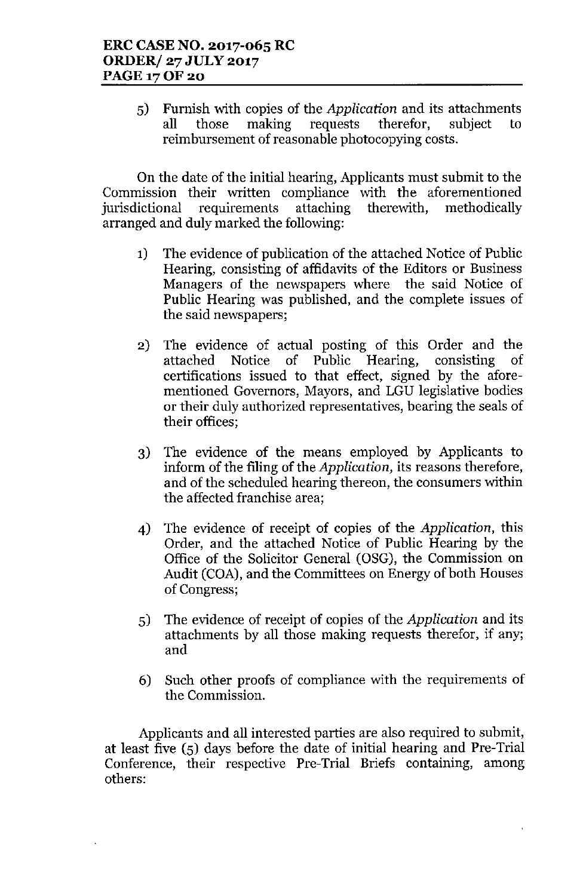5) Furnish with copies of the *Application* and its attachments all those making requests therefor, subject to reimbursement of reasonable photocopying costs.

On the date of the initial hearing, Applicants must submit to the Commission their written compliance with the aforementioned jurisdictional requirements attaching therewith, methodically arranged and duly marked the following:

- 1) The evidence of publication of the attached Notice of Public Hearing, consisting of affidavits of the Editors or Business Managers of the newspapers where the said Notice of Public Hearing was published, and the complete issues of the said newspapers;
- 2) The evidence of actual posting of this Order and the attached Notice of Public Hearing, consisting of certifications issued to that effect, signed by the aforementioned Governors, Mayors, and LGU legislative bodies or their duly authorized representatives, bearing the seals of their offices;
- 3) The evidence of the means employed by Applicants to inform of the filing of the *Application,* its reasons therefore, and of the scheduled hearing thereon, the consumers within the affected franchise area;
- 4) The evidence of receipt of copies of the *Application,* this Order, and the attached Notice of Public Hearing by the Office of the Solicitor General (OSG), the Commission on Audit (COA), and the Committees on Energy of both Houses of Congress;
- 5) The evidence of receipt of copies of the *Application* and its attachments by all those making requests therefor, if any; and
- 6) Such other proofs of compliance with the requirements of the Commission.

Applicants and all interested parties are also required to submit, at least five (5) days before the date of initial hearing and Pre-Trial Conference, their respective Pre-Trial Briefs containing, among others: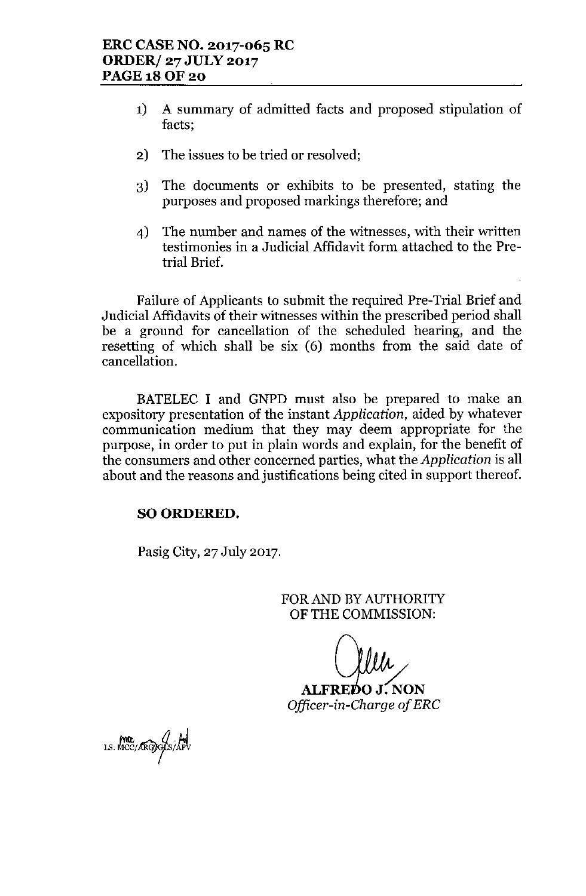- 1) A summary of admitted facts and proposed stipulation of facts;
- 2) The issues to be tried or resolved;
- 3) The documents or exhibits to be presented, stating the purposes and proposed markings therefore; and
- 4) The number and names of the witnesses, with their written testimonies in a Judicial Affidavit form attached to the Pretrial Brief.

Failure of Applicants to submit the required Pre-Trial Brief and Judicial Affidavits of their witnesses within the prescribed period shall be a ground for cancellation of the scheduled hearing, and the resetting of which shall be six (6) months from the said date of cancellation.

BATELEC I and GNPD must also be prepared to make an expository presentation of the instant *Application,* aided by whatever communication medium that they may deem appropriate for the purpose, in order to put in plain words and explain, for the benefit of the consumers and other concerned parties, what the *Application* is all about and the reasons and justifications being cited in support thereof.

## SO ORDERED.

Pasig City, 27 July 2017.

FOR AND BY AUTHORITY OF THE COMMISSION:

ALFREDO J. NON Officer-in-Charge of ERC

ma MC/ARGyo/S/APV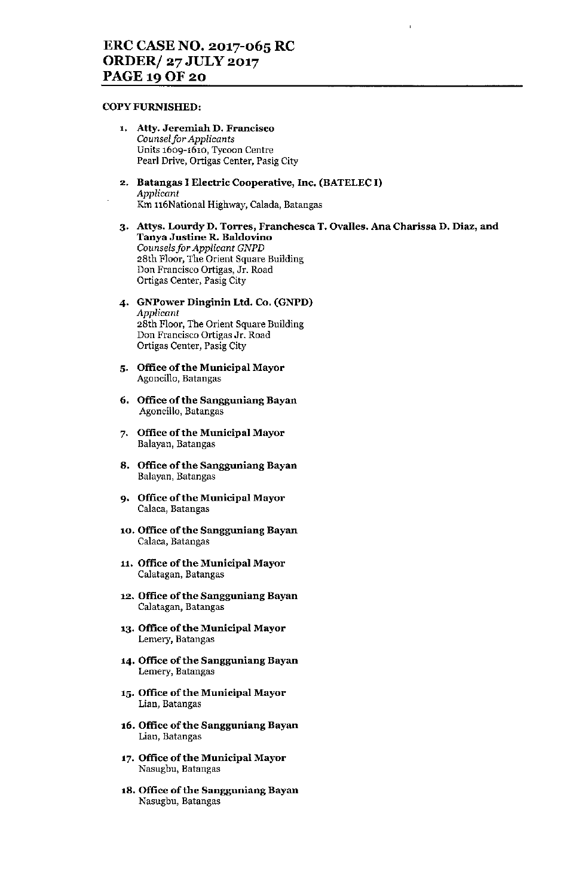#### COPY FURNISHED,

- 1. Atty. Jeremiah D. Francisco *Counselfor Applicants* Units 1609-1610, Tycoon Centre Pearl Drive, Ortigas Center, Pasig City
- 2. Batangas I Electric Cooperative, Inc. (BATELEC I) *Applicant* Km 116National Highway, Calada, Batangas
- 3. Attys. Lourdy D. Torres, Franchesca T. Ovalles. Ana Charissa D. Diaz, and Tanya Justine R. Baldovino *Counselsfor Applicant GNPD* 28th Floor, The Orient Square Building Don Francisco Ortigas, Jr. Road Ortigas Center, Pasig City
- 4. GNPower Dinginin Ltd. Co. (GNPD) *Applicant* 28th Floor, The Orient Square Building Don Francisco Ortigas Jr. Road Ortigas Center, Pasig City
- 5. Office of the Municipal Mayor Agoncillo, Batangas
- 6. Office of the Sangguniang Bayan Agoncillo, Batangas
- 7. Office of the Municipal Mayor Balayan, Batangas
- 8. Office of the Sangguniang Bayan Balayan, Batangas
- 9. Office of the Municipal Mayor Calaca, Batangas
- 10. Office of the Sangguniang Bayan Calaea, Batangas
- 11. Office of the Municipal Mayor Calatagan, Batangas
- 12. Office of the Sangguniang Bayan Calatagan, Batangas
- 13. Office of the Municipal Mayor Lemery, Batangas
- 14. Office of the Sangguniang Bayan Lemery, Batangas
- 15. Office of the Municipal Mayor Lian, Batangas
- 16. Office of the Sangguniang Bayan Lian, Batangas
- 17. Office of the Municipal Mayor Nasugbu, Batangas
- 18. Office of the Sangguniang Bayan Nasugbu, Batangas